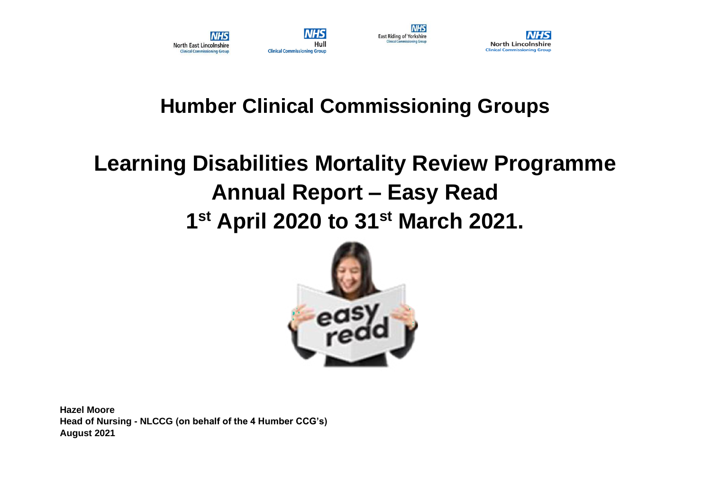



**NHS** 

# **Humber Clinical Commissioning Groups**

# **Learning Disabilities Mortality Review Programme Annual Report – Easy Read 1 st April 2020 to 31st March 2021.**



**Hazel Moore Head of Nursing - NLCCG (on behalf of the 4 Humber CCG's) August 2021**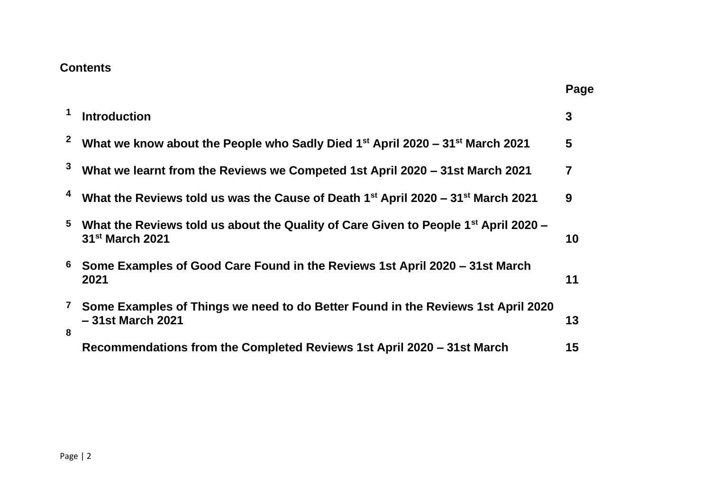#### **Contents**

|                     |                                                                                                                                | Page         |
|---------------------|--------------------------------------------------------------------------------------------------------------------------------|--------------|
| 1                   | <b>Introduction</b>                                                                                                            | $\mathbf{3}$ |
| $\mathbf{2}$        | What we know about the People who Sadly Died 1 <sup>st</sup> April 2020 – 31 <sup>st</sup> March 2021                          | 5            |
| $\mathbf{3}$        | What we learnt from the Reviews we Competed 1st April 2020 - 31st March 2021                                                   | 7            |
| 4                   | What the Reviews told us was the Cause of Death 1 <sup>st</sup> April 2020 – 31 <sup>st</sup> March 2021                       | 9            |
| $5\phantom{.0}$     | What the Reviews told us about the Quality of Care Given to People 1 <sup>st</sup> April 2020 –<br>31 <sup>st</sup> March 2021 | 10           |
| 6                   | Some Examples of Good Care Found in the Reviews 1st April 2020 – 31st March<br>2021                                            | 11           |
| $\overline{7}$<br>8 | Some Examples of Things we need to do Better Found in the Reviews 1st April 2020<br>-31st March 2021                           | 13           |
|                     | Recommendations from the Completed Reviews 1st April 2020 – 31st March                                                         | 15           |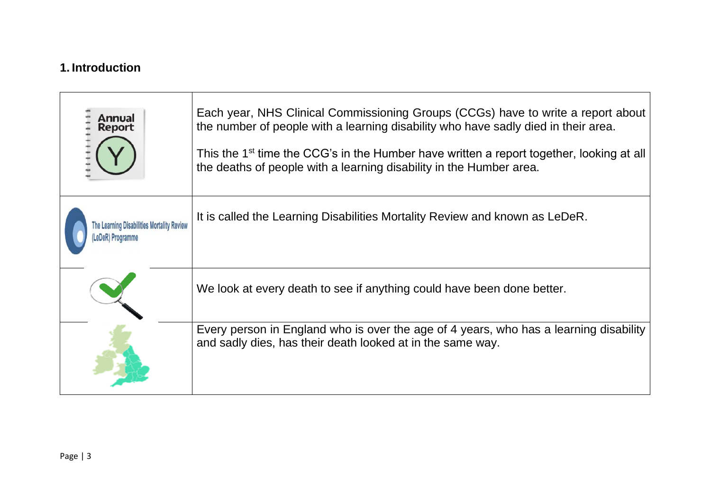#### **1. Introduction**

| Annual<br><b>Report</b>                                       | Each year, NHS Clinical Commissioning Groups (CCGs) have to write a report about<br>the number of people with a learning disability who have sadly died in their area.<br>This the 1 <sup>st</sup> time the CCG's in the Humber have written a report together, looking at all<br>the deaths of people with a learning disability in the Humber area. |
|---------------------------------------------------------------|-------------------------------------------------------------------------------------------------------------------------------------------------------------------------------------------------------------------------------------------------------------------------------------------------------------------------------------------------------|
| The Learning Disabilities Mortality Review<br>eDeR) Programme | It is called the Learning Disabilities Mortality Review and known as LeDeR.                                                                                                                                                                                                                                                                           |
|                                                               | We look at every death to see if anything could have been done better.                                                                                                                                                                                                                                                                                |
|                                                               | Every person in England who is over the age of 4 years, who has a learning disability<br>and sadly dies, has their death looked at in the same way.                                                                                                                                                                                                   |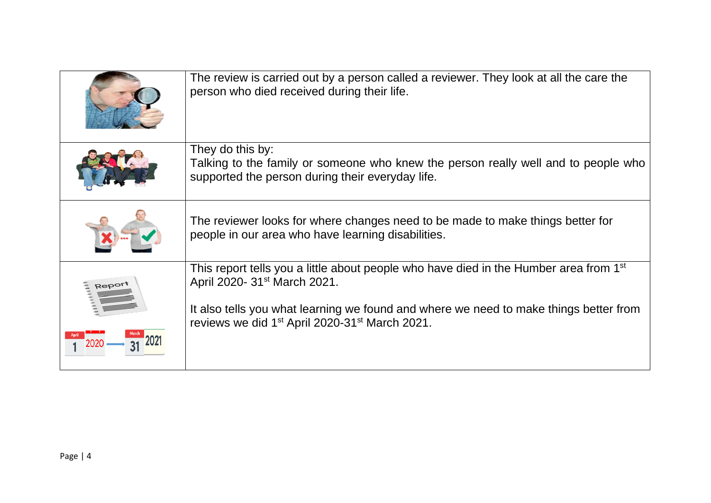| The review is carried out by a person called a reviewer. They look at all the care the<br>person who died received during their life.                                                                                                                                                                            |
|------------------------------------------------------------------------------------------------------------------------------------------------------------------------------------------------------------------------------------------------------------------------------------------------------------------|
| They do this by:<br>Talking to the family or someone who knew the person really well and to people who<br>supported the person during their everyday life.                                                                                                                                                       |
| The reviewer looks for where changes need to be made to make things better for<br>people in our area who have learning disabilities.                                                                                                                                                                             |
| This report tells you a little about people who have died in the Humber area from 1 <sup>st</sup><br>April 2020- 31 <sup>st</sup> March 2021.<br>It also tells you what learning we found and where we need to make things better from<br>reviews we did 1 <sup>st</sup> April 2020-31 <sup>st</sup> March 2021. |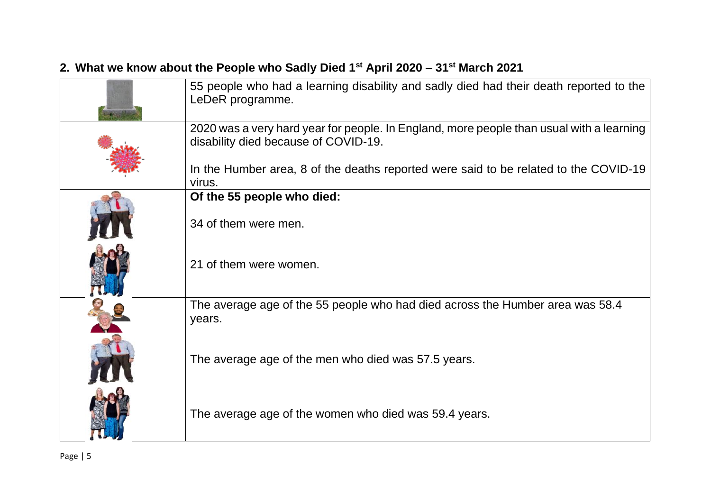# **2. What we know about the People who Sadly Died 1st April 2020 – 31st March 2021**

| 55 people who had a learning disability and sadly died had their death reported to the<br>LeDeR programme.                       |
|----------------------------------------------------------------------------------------------------------------------------------|
| 2020 was a very hard year for people. In England, more people than usual with a learning<br>disability died because of COVID-19. |
| In the Humber area, 8 of the deaths reported were said to be related to the COVID-19<br>virus.                                   |
| Of the 55 people who died:                                                                                                       |
| 34 of them were men.                                                                                                             |
| 21 of them were women.                                                                                                           |
| The average age of the 55 people who had died across the Humber area was 58.4<br>years.                                          |
| The average age of the men who died was 57.5 years.                                                                              |
| The average age of the women who died was 59.4 years.                                                                            |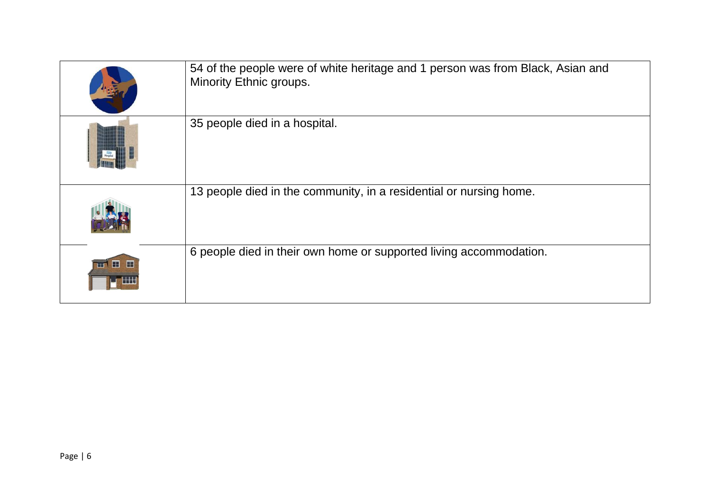|               | 54 of the people were of white heritage and 1 person was from Black, Asian and<br>Minority Ethnic groups. |
|---------------|-----------------------------------------------------------------------------------------------------------|
|               | 35 people died in a hospital.                                                                             |
|               | 13 people died in the community, in a residential or nursing home.                                        |
| <b>ਜ਼ ⊞ ⊞</b> | 6 people died in their own home or supported living accommodation.                                        |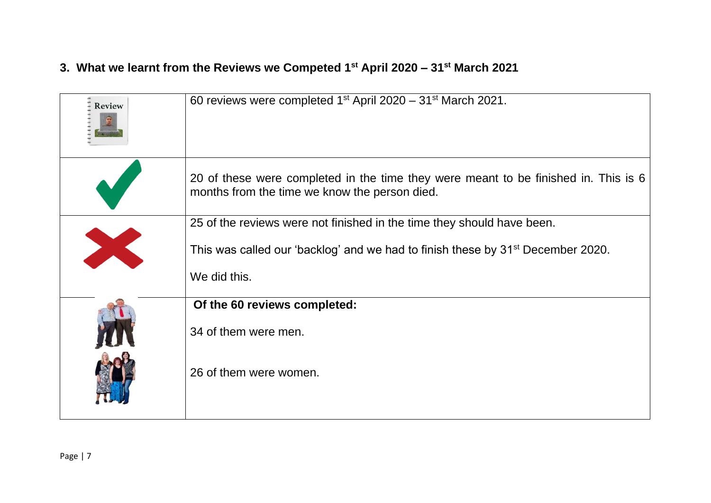## **3. What we learnt from the Reviews we Competed 1st April 2020 – 31st March 2021**

| <b>Review</b> | 60 reviews were completed $1^{st}$ April 2020 – 31 <sup>st</sup> March 2021.                                                         |
|---------------|--------------------------------------------------------------------------------------------------------------------------------------|
|               | 20 of these were completed in the time they were meant to be finished in. This is 6<br>months from the time we know the person died. |
|               | 25 of the reviews were not finished in the time they should have been.                                                               |
|               | This was called our 'backlog' and we had to finish these by 31 <sup>st</sup> December 2020.                                          |
|               | We did this.                                                                                                                         |
|               | Of the 60 reviews completed:                                                                                                         |
|               | 34 of them were men.                                                                                                                 |
|               | 26 of them were women.                                                                                                               |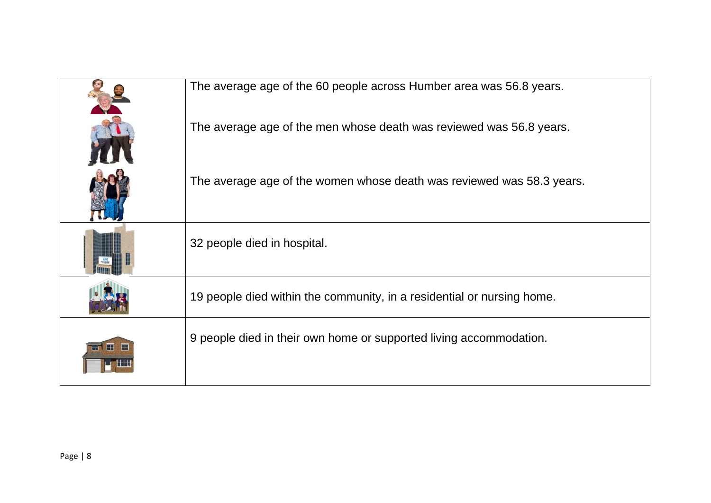|                           | The average age of the 60 people across Humber area was 56.8 years.    |
|---------------------------|------------------------------------------------------------------------|
|                           | The average age of the men whose death was reviewed was 56.8 years.    |
|                           | The average age of the women whose death was reviewed was 58.3 years.  |
|                           | 32 people died in hospital.                                            |
|                           | 19 people died within the community, in a residential or nursing home. |
| <b>HOWER</b><br><b>HA</b> | 9 people died in their own home or supported living accommodation.     |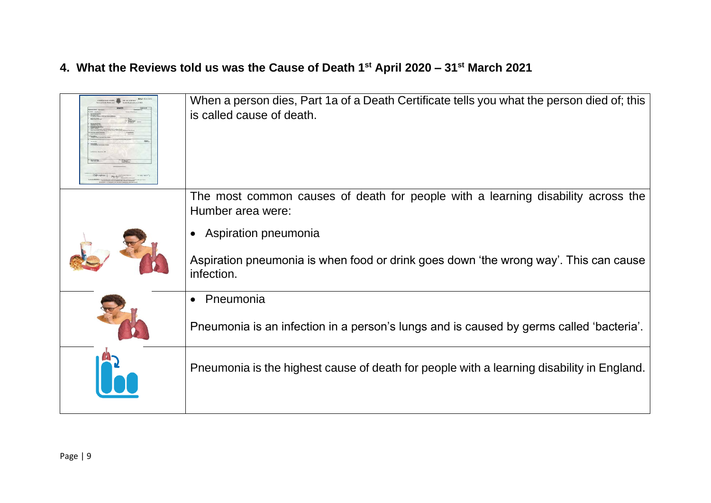#### **4. What the Reviews told us was the Cause of Death 1st April 2020 – 31st March 2021**

| When a person dies, Part 1a of a Death Certificate tells you what the person died of; this<br>is called cause of death. |
|-------------------------------------------------------------------------------------------------------------------------|
| The most common causes of death for people with a learning disability across the<br>Humber area were:                   |
| Aspiration pneumonia                                                                                                    |
| Aspiration pneumonia is when food or drink goes down 'the wrong way'. This can cause<br>infection.                      |
| Pneumonia<br>$\bullet$                                                                                                  |
| Pneumonia is an infection in a person's lungs and is caused by germs called 'bacteria'.                                 |
| Pneumonia is the highest cause of death for people with a learning disability in England.                               |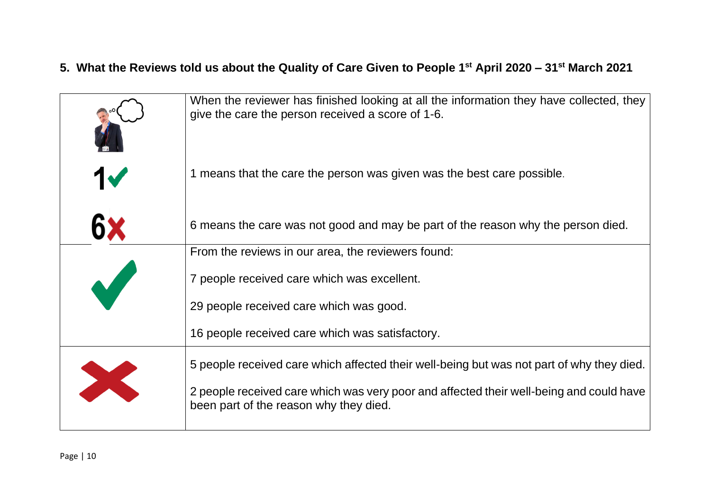# **5. What the Reviews told us about the Quality of Care Given to People 1st April 2020 – 31st March 2021**

|           | When the reviewer has finished looking at all the information they have collected, they<br>give the care the person received a score of 1-6. |
|-----------|----------------------------------------------------------------------------------------------------------------------------------------------|
| <b>17</b> | 1 means that the care the person was given was the best care possible.                                                                       |
| 6×        | 6 means the care was not good and may be part of the reason why the person died.                                                             |
|           | From the reviews in our area, the reviewers found:                                                                                           |
|           | 7 people received care which was excellent.                                                                                                  |
|           | 29 people received care which was good.                                                                                                      |
|           | 16 people received care which was satisfactory.                                                                                              |
|           | 5 people received care which affected their well-being but was not part of why they died.                                                    |
| X         | 2 people received care which was very poor and affected their well-being and could have<br>been part of the reason why they died.            |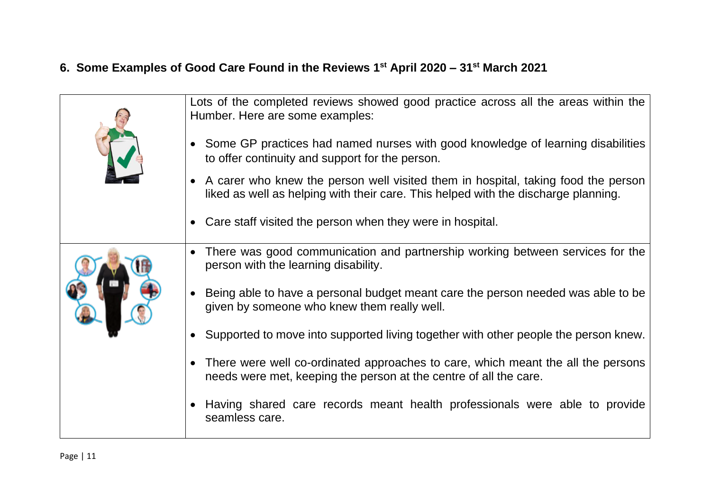# **6. Some Examples of Good Care Found in the Reviews 1st April 2020 – 31st March 2021**

| Lots of the completed reviews showed good practice across all the areas within the<br>Humber. Here are some examples:<br>• Some GP practices had named nurses with good knowledge of learning disabilities<br>to offer continuity and support for the person.<br>• A carer who knew the person well visited them in hospital, taking food the person |
|------------------------------------------------------------------------------------------------------------------------------------------------------------------------------------------------------------------------------------------------------------------------------------------------------------------------------------------------------|
| liked as well as helping with their care. This helped with the discharge planning.<br>• Care staff visited the person when they were in hospital.                                                                                                                                                                                                    |
| There was good communication and partnership working between services for the<br>$\bullet$<br>person with the learning disability.                                                                                                                                                                                                                   |
| Being able to have a personal budget meant care the person needed was able to be<br>$\bullet$<br>given by someone who knew them really well.                                                                                                                                                                                                         |
| Supported to move into supported living together with other people the person knew.                                                                                                                                                                                                                                                                  |
| • There were well co-ordinated approaches to care, which meant the all the persons<br>needs were met, keeping the person at the centre of all the care.                                                                                                                                                                                              |
| Having shared care records meant health professionals were able to provide<br>seamless care.                                                                                                                                                                                                                                                         |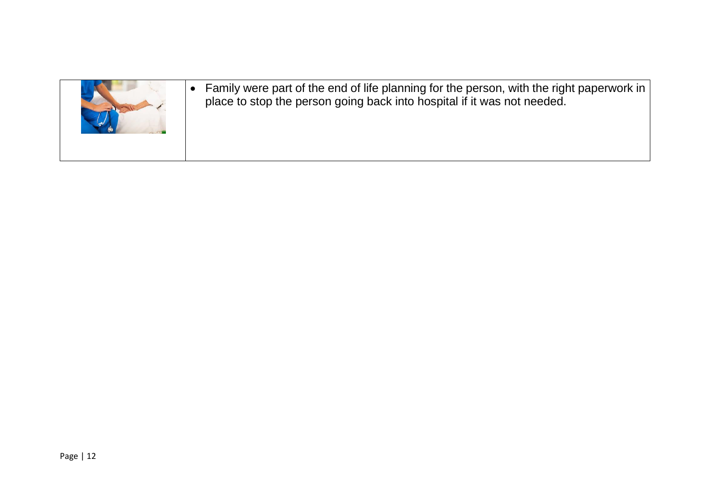

• Family were part of the end of life planning for the person, with the right paperwork in place to stop the person going back into hospital if it was not needed.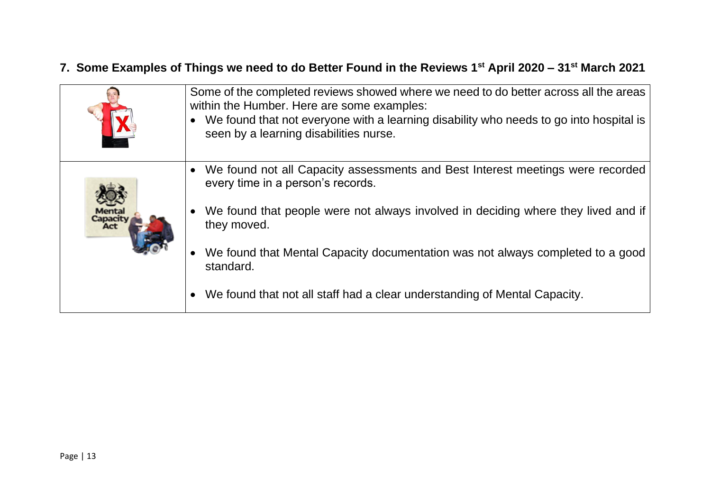#### **7. Some Examples of Things we need to do Better Found in the Reviews 1st April 2020 – 31st March 2021**

| Some of the completed reviews showed where we need to do better across all the areas<br>within the Humber. Here are some examples:<br>• We found that not everyone with a learning disability who needs to go into hospital is<br>seen by a learning disabilities nurse. |
|--------------------------------------------------------------------------------------------------------------------------------------------------------------------------------------------------------------------------------------------------------------------------|
| We found not all Capacity assessments and Best Interest meetings were recorded<br>every time in a person's records.                                                                                                                                                      |
| • We found that people were not always involved in deciding where they lived and if<br>they moved.                                                                                                                                                                       |
| We found that Mental Capacity documentation was not always completed to a good<br>standard.                                                                                                                                                                              |
| We found that not all staff had a clear understanding of Mental Capacity.                                                                                                                                                                                                |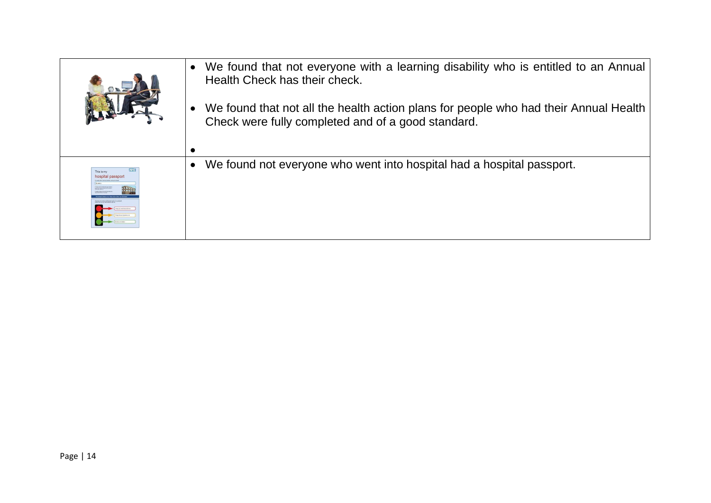| We found that not everyone with a learning disability who is entitled to an Annual<br>Health Check has their check.<br>We found that not all the health action plans for people who had their Annual Health<br>Check were fully completed and of a good standard. |
|-------------------------------------------------------------------------------------------------------------------------------------------------------------------------------------------------------------------------------------------------------------------|
| We found not everyone who went into hospital had a hospital passport.                                                                                                                                                                                             |